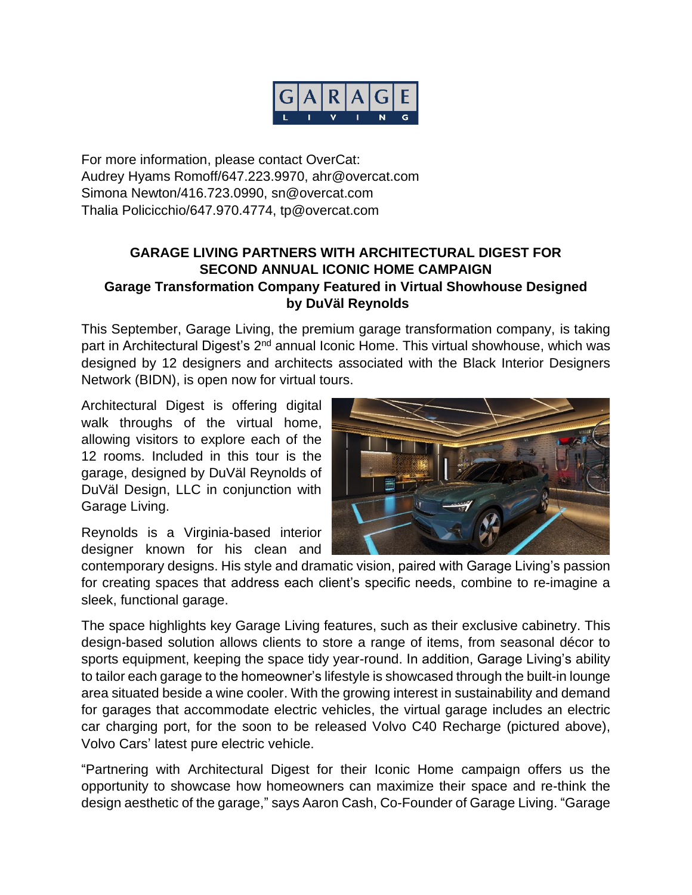

For more information, please contact OverCat: Audrey Hyams Romoff/647.223.9970, ahr@overcat.com Simona Newton/416.723.0990, sn@overcat.com Thalia Policicchio/647.970.4774, tp@overcat.com

## **GARAGE LIVING PARTNERS WITH ARCHITECTURAL DIGEST FOR SECOND ANNUAL ICONIC HOME CAMPAIGN Garage Transformation Company Featured in Virtual Showhouse Designed by DuVäl Reynolds**

This September, Garage Living, the premium garage transformation company, is taking part in Architectural Digest's 2<sup>nd</sup> annual Iconic Home. This virtual showhouse, which was designed by 12 designers and architects associated with the Black Interior Designers Network (BIDN), is open now for virtual tours.

Architectural Digest is offering digital walk throughs of the virtual home, allowing visitors to explore each of the 12 rooms. Included in this tour is the garage, designed by DuVäl Reynolds of DuVäl Design, LLC in conjunction with Garage Living.

Reynolds is a Virginia-based interior designer known for his clean and

contemporary designs. His style and dramatic vision, paired with Garage Living's passion for creating spaces that address each client's specific needs, combine to re-imagine a sleek, functional garage.

The space highlights key Garage Living features, such as their exclusive cabinetry. This design-based solution allows clients to store a range of items, from seasonal décor to sports equipment, keeping the space tidy year-round. In addition, Garage Living's ability to tailor each garage to the homeowner's lifestyle is showcased through the built-in lounge area situated beside a wine cooler. With the growing interest in sustainability and demand for garages that accommodate electric vehicles, the virtual garage includes an electric car charging port, for the soon to be released Volvo C40 Recharge (pictured above), Volvo Cars' latest pure electric vehicle.

"Partnering with Architectural Digest for their Iconic Home campaign offers us the opportunity to showcase how homeowners can maximize their space and re-think the design aesthetic of the garage," says Aaron Cash, Co-Founder of Garage Living. "Garage